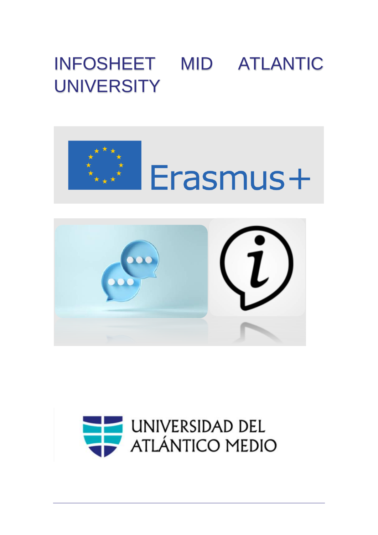## INFOSHEET MID ATLANTIC **UNIVERSITY**



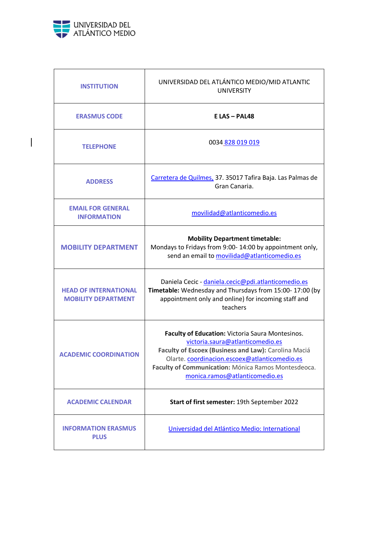

 $\begin{array}{c} \hline \end{array}$ 

| <b>INSTITUTION</b>                                         | UNIVERSIDAD DEL ATLÁNTICO MEDIO/MID ATLANTIC<br><b>UNIVERSITY</b>                                                                                                                                                                                                                      |
|------------------------------------------------------------|----------------------------------------------------------------------------------------------------------------------------------------------------------------------------------------------------------------------------------------------------------------------------------------|
| <b>ERASMUS CODE</b>                                        | $E$ LAS - PAL48                                                                                                                                                                                                                                                                        |
| <b>TELEPHONE</b>                                           | 0034 828 019 019                                                                                                                                                                                                                                                                       |
| <b>ADDRESS</b>                                             | Carretera de Quilmes, 37. 35017 Tafira Baja. Las Palmas de<br>Gran Canaria.                                                                                                                                                                                                            |
| <b>EMAIL FOR GENERAL</b><br><b>INFORMATION</b>             | movilidad@atlanticomedio.es                                                                                                                                                                                                                                                            |
| <b>MOBILITY DEPARTMENT</b>                                 | <b>Mobility Department timetable:</b><br>Mondays to Fridays from 9:00-14:00 by appointment only,<br>send an email to movilidad@atlanticomedio.es                                                                                                                                       |
| <b>HEAD OF INTERNATIONAL</b><br><b>MOBILITY DEPARTMENT</b> | Daniela Cecic - daniela.cecic@pdi.atlanticomedio.es<br>Timetable: Wednesday and Thursdays from 15:00-17:00 (by<br>appointment only and online) for incoming staff and<br>teachers                                                                                                      |
| <b>ACADEMIC COORDINATION</b>                               | Faculty of Education: Victoria Saura Montesinos.<br>victoria.saura@atlanticomedio.es<br>Faculty of Escoex (Business and Law): Carolina Maciá<br>Olarte. coordinacion.escoex@atlanticomedio.es<br>Faculty of Communication: Mónica Ramos Montesdeoca.<br>monica.ramos@atlanticomedio.es |
| <b>ACADEMIC CALENDAR</b>                                   | Start of first semester: 19th September 2022                                                                                                                                                                                                                                           |
| <b>INFORMATION ERASMUS</b><br><b>PLUS</b>                  | Universidad del Atlántico Medio: International                                                                                                                                                                                                                                         |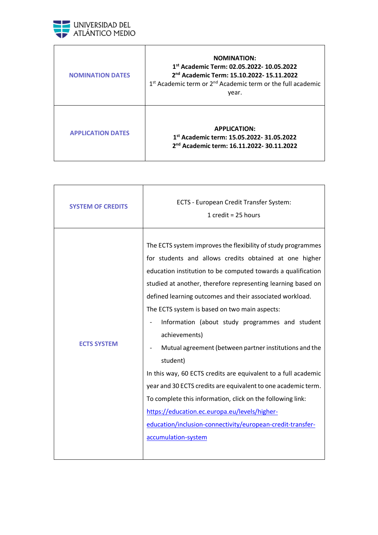

| <b>NOMINATION DATES</b>  | <b>NOMINATION:</b><br>1st Academic Term: 02.05.2022- 10.05.2022<br>2 <sup>nd</sup> Academic Term: 15.10.2022-15.11.2022<br>1 <sup>st</sup> Academic term or 2 <sup>nd</sup> Academic term or the full academic<br>year. |
|--------------------------|-------------------------------------------------------------------------------------------------------------------------------------------------------------------------------------------------------------------------|
| <b>APPLICATION DATES</b> | <b>APPLICATION:</b><br>1st Academic term: 15.05.2022- 31.05.2022<br>2 <sup>nd</sup> Academic term: 16.11.2022-30.11.2022                                                                                                |

| <b>SYSTEM OF CREDITS</b> | ECTS - European Credit Transfer System:<br>1 credit = $25$ hours                                                                                                                                                                                                                                                                                                                                                                                                                                                                                                                                                                                                                                                                                                                                                                                     |
|--------------------------|------------------------------------------------------------------------------------------------------------------------------------------------------------------------------------------------------------------------------------------------------------------------------------------------------------------------------------------------------------------------------------------------------------------------------------------------------------------------------------------------------------------------------------------------------------------------------------------------------------------------------------------------------------------------------------------------------------------------------------------------------------------------------------------------------------------------------------------------------|
| <b>ECTS SYSTEM</b>       | The ECTS system improves the flexibility of study programmes<br>for students and allows credits obtained at one higher<br>education institution to be computed towards a qualification<br>studied at another, therefore representing learning based on<br>defined learning outcomes and their associated workload.<br>The ECTS system is based on two main aspects:<br>Information (about study programmes and student<br>achievements)<br>Mutual agreement (between partner institutions and the<br>student)<br>In this way, 60 ECTS credits are equivalent to a full academic<br>year and 30 ECTS credits are equivalent to one academic term.<br>To complete this information, click on the following link:<br>https://education.ec.europa.eu/levels/higher-<br>education/inclusion-connectivity/european-credit-transfer-<br>accumulation-system |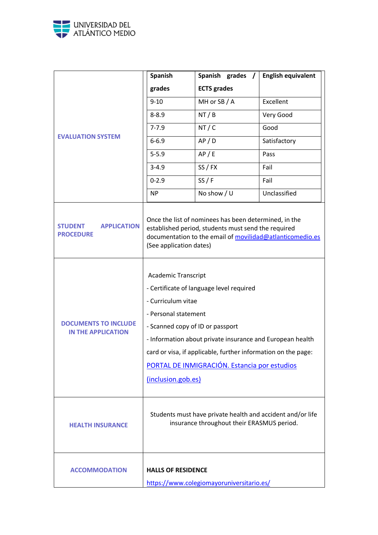

|                                                          | <b>Spanish</b>                                                                                                                     | Spanish grades /                                                                                                                                                                                                       | <b>English equivalent</b> |
|----------------------------------------------------------|------------------------------------------------------------------------------------------------------------------------------------|------------------------------------------------------------------------------------------------------------------------------------------------------------------------------------------------------------------------|---------------------------|
|                                                          | grades                                                                                                                             | <b>ECTS</b> grades                                                                                                                                                                                                     |                           |
|                                                          | $9 - 10$                                                                                                                           | MH or SB / A                                                                                                                                                                                                           | Excellent                 |
|                                                          | $8 - 8.9$                                                                                                                          | NT / B                                                                                                                                                                                                                 | Very Good                 |
|                                                          | $7 - 7.9$                                                                                                                          | NT/C                                                                                                                                                                                                                   | Good                      |
| <b>EVALUATION SYSTEM</b>                                 | $6 - 6.9$                                                                                                                          | AP/D                                                                                                                                                                                                                   | Satisfactory              |
|                                                          | $5 - 5.9$                                                                                                                          | AP / E                                                                                                                                                                                                                 | Pass                      |
|                                                          | $3 - 4.9$                                                                                                                          | SS / FX                                                                                                                                                                                                                | Fail                      |
|                                                          | $0 - 2.9$                                                                                                                          | SS/F                                                                                                                                                                                                                   | Fail                      |
|                                                          | <b>NP</b>                                                                                                                          | No show / U                                                                                                                                                                                                            | Unclassified              |
| <b>STUDENT</b><br><b>APPLICATION</b><br><b>PROCEDURE</b> | (See application dates)                                                                                                            | Once the list of nominees has been determined, in the<br>established period, students must send the required<br>documentation to the email of movilidad@atlanticomedio.es                                              |                           |
| <b>DOCUMENTS TO INCLUDE</b><br><b>IN THE APPLICATION</b> | <b>Academic Transcript</b><br>- Curriculum vitae<br>- Personal statement<br>- Scanned copy of ID or passport<br>(inclusion.gob.es) | - Certificate of language level required<br>- Information about private insurance and European health<br>card or visa, if applicable, further information on the page:<br>PORTAL DE INMIGRACIÓN. Estancia por estudios |                           |
| <b>HEALTH INSURANCE</b>                                  | Students must have private health and accident and/or life<br>insurance throughout their ERASMUS period.                           |                                                                                                                                                                                                                        |                           |
| <b>ACCOMMODATION</b>                                     | <b>HALLS OF RESIDENCE</b>                                                                                                          | https://www.colegiomayoruniversitario.es/                                                                                                                                                                              |                           |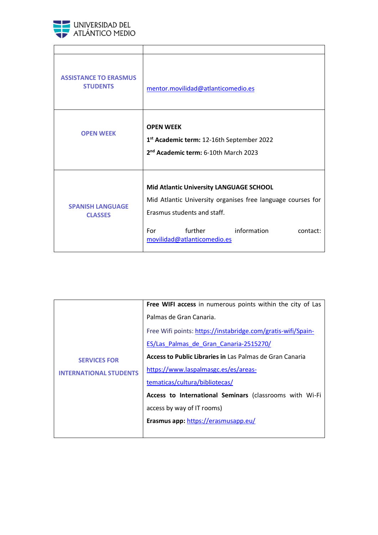

| <b>ASSISTANCE TO ERASMUS</b><br><b>STUDENTS</b> | mentor.movilidad@atlanticomedio.es                                                                                                                                                                                |
|-------------------------------------------------|-------------------------------------------------------------------------------------------------------------------------------------------------------------------------------------------------------------------|
| <b>OPEN WEEK</b>                                | <b>OPEN WEEK</b><br>1 <sup>st</sup> Academic term: 12-16th September 2022<br>2 <sup>nd</sup> Academic term: 6-10th March 2023                                                                                     |
| <b>SPANISH LANGUAGE</b><br><b>CLASSES</b>       | Mid Atlantic University LANGUAGE SCHOOL<br>Mid Atlantic University organises free language courses for<br>Erasmus students and staff.<br>information<br>further<br>For<br>contact:<br>movilidad@atlanticomedio.es |

| <b>SERVICES FOR</b><br><b>INTERNATIONAL STUDENTS</b> | Free WIFI access in numerous points within the city of Las   |
|------------------------------------------------------|--------------------------------------------------------------|
|                                                      | Palmas de Gran Canaria.                                      |
|                                                      | Free Wifi points: https://instabridge.com/gratis-wifi/Spain- |
|                                                      | ES/Las Palmas de Gran Canaria-2515270/                       |
|                                                      | Access to Public Libraries in Las Palmas de Gran Canaria     |
|                                                      | https://www.laspalmasgc.es/es/areas-                         |
|                                                      | tematicas/cultura/bibliotecas/                               |
|                                                      | Access to International Seminars (classrooms with Wi-Fi      |
|                                                      | access by way of IT rooms)                                   |
|                                                      | Erasmus app: https://erasmusapp.eu/                          |
|                                                      |                                                              |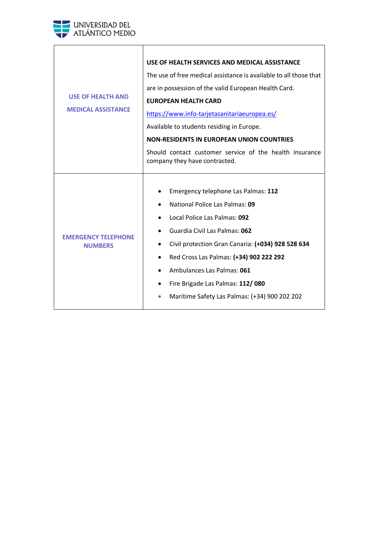

| <b>USE OF HEALTH AND</b><br><b>MEDICAL ASSISTANCE</b> | USE OF HEALTH SERVICES AND MEDICAL ASSISTANCE<br>The use of free medical assistance is available to all those that<br>are in possession of the valid European Health Card.<br><b>EUROPEAN HEALTH CARD</b><br>https://www.info-tarjetasanitariaeuropea.es/<br>Available to students residing in Europe.<br><b>NON-RESIDENTS IN EUROPEAN UNION COUNTRIES</b><br>Should contact customer service of the health insurance<br>company they have contracted. |
|-------------------------------------------------------|--------------------------------------------------------------------------------------------------------------------------------------------------------------------------------------------------------------------------------------------------------------------------------------------------------------------------------------------------------------------------------------------------------------------------------------------------------|
| <b>FMFRGFNCY TFLFPHONF</b><br><b>NUMBERS</b>          | Emergency telephone Las Palmas: 112<br>National Police Las Palmas: 09<br>Local Police Las Palmas: 092<br>Guardia Civil Las Palmas: 062<br>Civil protection Gran Canaria: (+034) 928 528 634<br>Red Cross Las Palmas: (+34) 902 222 292<br>Ambulances Las Palmas: 061<br>Fire Brigade Las Palmas: 112/080<br>Maritime Safety Las Palmas: (+34) 900 202 202                                                                                              |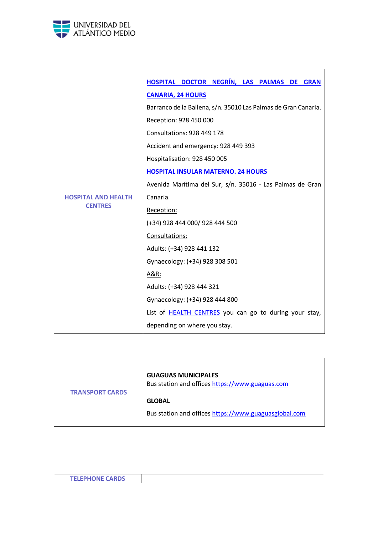

|                            | HOSPITAL DOCTOR NEGRÍN, LAS PALMAS DE<br><b>GRAN</b>           |
|----------------------------|----------------------------------------------------------------|
|                            | <b>CANARIA, 24 HOURS</b>                                       |
|                            | Barranco de la Ballena, s/n. 35010 Las Palmas de Gran Canaria. |
|                            | Reception: 928 450 000                                         |
|                            | <b>Consultations: 928 449 178</b>                              |
|                            | Accident and emergency: 928 449 393                            |
|                            | Hospitalisation: 928 450 005                                   |
|                            | <b>HOSPITAL INSULAR MATERNO. 24 HOURS</b>                      |
|                            | Avenida Marítima del Sur, s/n. 35016 - Las Palmas de Gran      |
| <b>HOSPITAL AND HEALTH</b> | Canaria.                                                       |
| <b>CENTRES</b>             | Reception:                                                     |
|                            | (+34) 928 444 000/ 928 444 500                                 |
|                            | Consultations:                                                 |
|                            | Adults: (+34) 928 441 132                                      |
|                            | Gynaecology: (+34) 928 308 501                                 |
|                            | A&R:                                                           |
|                            | Adults: (+34) 928 444 321                                      |
|                            | Gynaecology: (+34) 928 444 800                                 |
|                            | List of <b>HEALTH CENTRES</b> you can go to during your stay,  |
|                            | depending on where you stay.                                   |

| <b>TRANSPORT CARDS</b> | <b>GUAGUAS MUNICIPALES</b><br>Bus station and offices https://www.guaguas.com |
|------------------------|-------------------------------------------------------------------------------|
|                        | <b>GLOBAL</b>                                                                 |
|                        | Bus station and offices https://www.guaguasglobal.com                         |

| <b>TELEBUONE CARDS</b><br>I ELEMMUNE CANDS |  |
|--------------------------------------------|--|